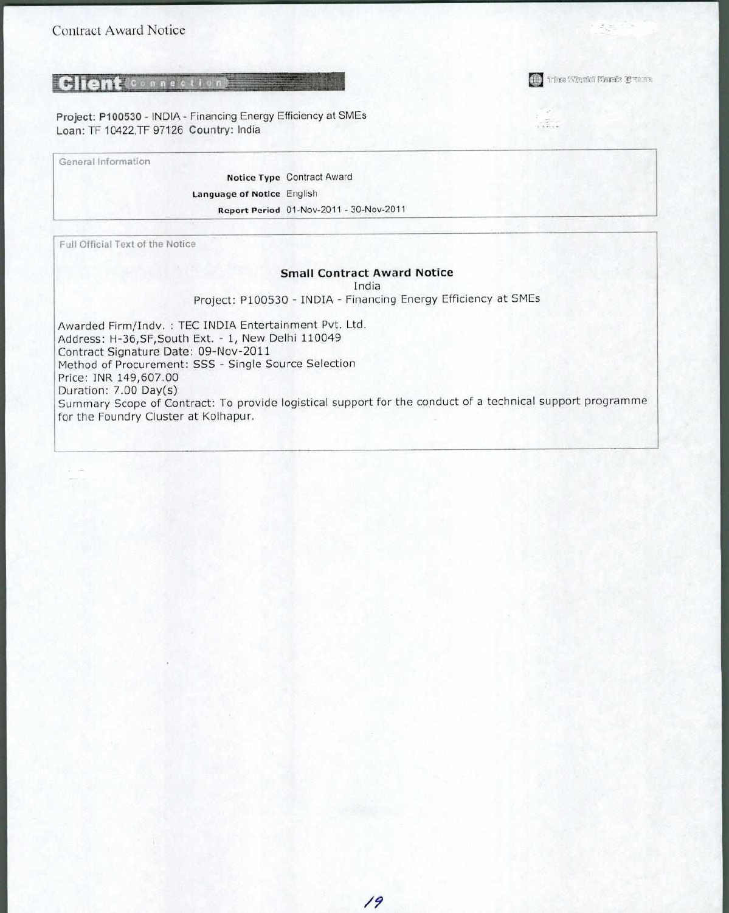## *<u>Client***connections**</u>

Project: P100530 - INDIA - Financing Energy Efficiency at SMEs Loan: TF 10422,TF 97126 Country: India

General Information

Notice Type Contract Award Language of Notice English Report Period 01-Nov-2011 - 30-Nov-2011

Full Official Text of the Notice

#### **Small Contract Award Notice**

India

Project: P100530 - INDIA - Financing Energy Efficiency at SMEs

Awarded Firm/Indv. : TEC INDIA Entertainment Pvt. Ltd. Address: H-36,SF,South Ext. - 1, New Delhi 110049 Contract Signature Date: 09-Nov-2011 Method of Procurement: SSS - Single Source Selection Price: INR 149,607.00 Duration: 7.00 Day(s) Summary Scope of Contract: To provide logistical support for the conduct of a technical support programme for the Foundry Cluster at Kolhapur.

The Warks Send Control County

 $\sim$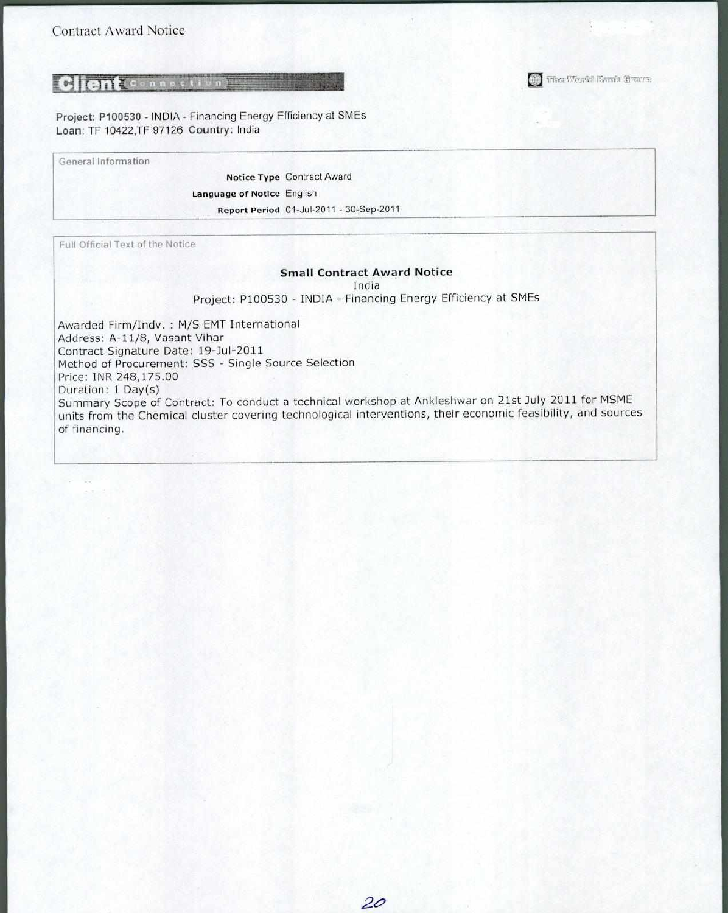## **Client**connection

Project: P100530 - INDIA - Financing Energy Efficiency at SMEs Loan: TF 10422,TF 97126 Country: India

General Information

Notice Type Contract Award Language of Notice English Report Period 01-Jul-2011 - 30-Sep-2011

Full Official Text of the Notice

#### **Small Contract Award Notice**

III) The World Bank Grens

India

Project: P100530 - INDIA - Financing Energy Efficiency at SMEs

Awarded Firm/Indv. : M/S EMT International Address: A-11/8, Vasant Vihar Contract Signature Date: 19-Jul-2011 Method of Procurement: SSS - Single Source Selection Price: INR 248,175.00 Duration: 1 Day(s) Summary Scope of Contract: To conduct a technical workshop at Ankleshwar on 21st July 2011 for MSME units from the Chemical cluster covering technological interventions, their economic feasibility, and sources of financing.

20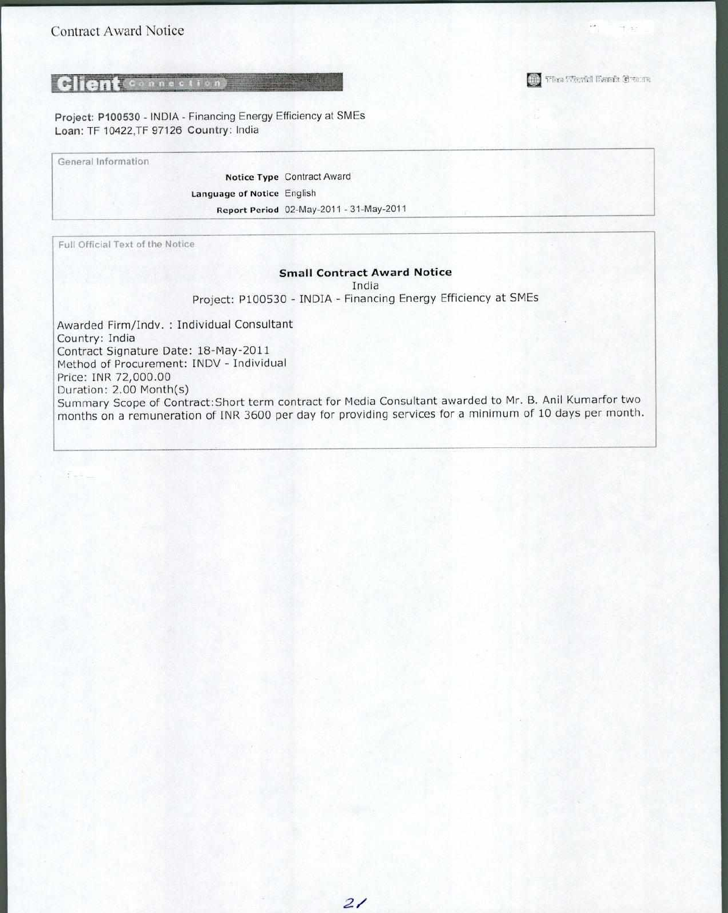The World Bends Cream

## **Client** Connection

Project: P100530 - INDIA - Financing Energy Efficiency at SMEs Loan: TF 10422,TF 97126 Country: India

General Information

Notice Type Contract Award Language of Notice English Report Period 02-May-2011 - 31-May-2011

Full Official Text of the Notice

#### **Small Contract Award Notice**

India

Project: P100530 - INDIA - Financing Energy Efficiency at SMEs

Awarded Firm/Indv. : Individual Consultant Country: India Contract Signature Date: 18-May-2011 Method of Procurement: INDV - Individual Price: INR 72,000.00 Duration: 2.00 Month(s) Summary Scope of Contract:Short term contract for Media Consultant awarded to Mr. B. Anil Kumarfor two months on a remuneration of INR 3600 per day for providing services for a minimum of 10 days per month.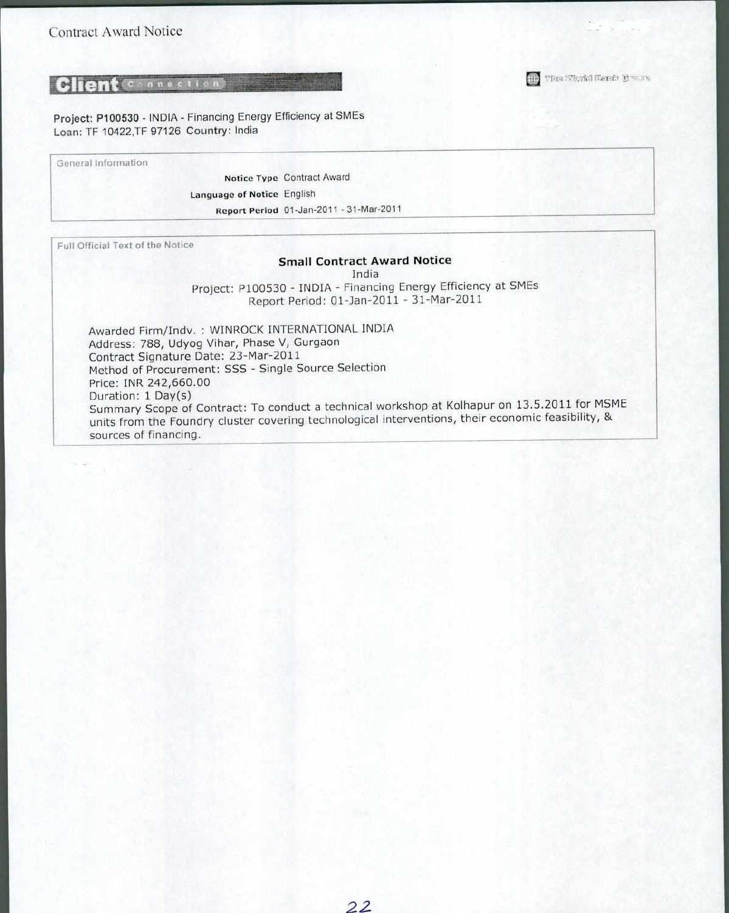## **Client Connection**

Project: P100530 - INDIA - Financing Energy Efficiency at SMEs Loan: TF 10422,TF 97126 Country: India

General Information

Notice Type Contract Award Language of Notice English Report Period 01-Jan-2011 - 31-Mar-2011

Full Official Text of the Notice

#### **Small Contract Award Notice**

**(iii)** The Weakl Bands Crown

India

Project: P100530 - INDIA - Financing Energy Efficiency at SMEs Report Period: 01-Jan-2011 - 31-Mar-2011

Awarded Firm/Indv. : WINROCK INTERNATIONAL INDIA Address: 788, Udyog Vihar, Phase V, Gurgaon Contract Signature Date: 23-Mar-2011 Method of Procurement: SSS - Single Source Selection Price: INR 242,660.00 Duration: 1 Day(s) Summary Scope of Contract: To conduct a technical workshop at Kolhapur on 13.5.2011 for MSME units from the Foundry cluster covering technological interventions, their economic feasibility, & sources of financing.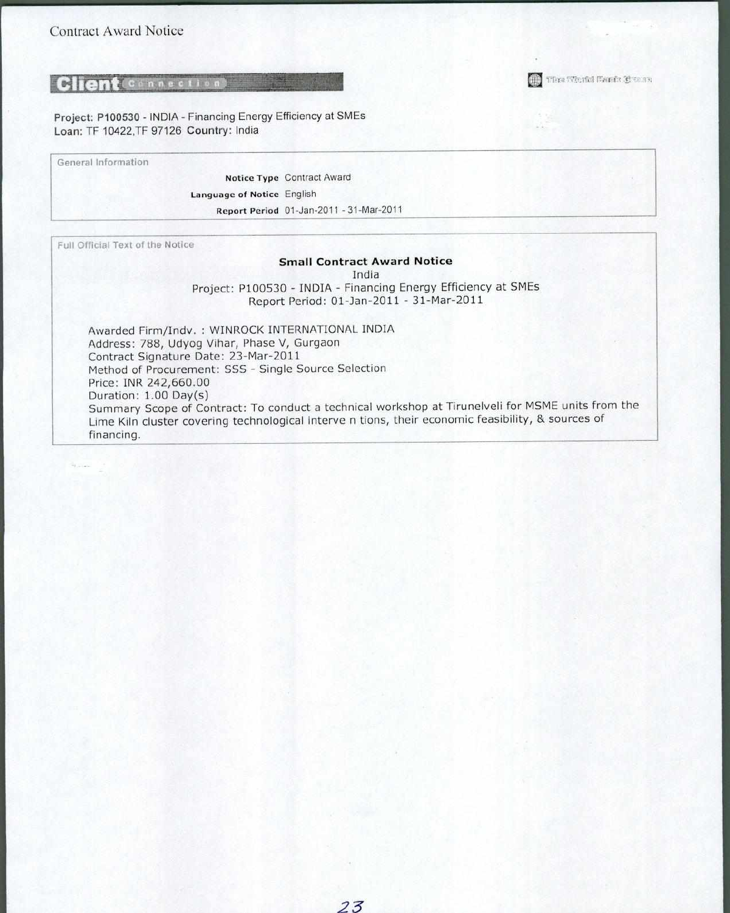## **Client** Connection

Project: P100530 - INDIA - Financing Energy Efficiency at SMEs Loan: TF 10422,TF 97126 Country: India

General Information

Notice Type Contract Award Language of Notice English Report Period 01-Jan-2011 - 31-Mar-2011

Full Official Text of the Notice

#### **Small Contract Award Notice**

India

Project: P100530 - INDIA - Financing Energy Efficiency at SMEs Report Period: 01-Jan-2011 - 31-Mar-2011

Awarded Firm/Indv. : WINROCK INTERNATIONAL INDIA Address: 788, Udyog Vihar, Phase V, Gurgaon Contract Signature Date: 23-Mar-2011 Method of Procurement: SSS - Single Source Selection Price: INR 242,660.00 Duration: 1.00 Day(s) Summary Scope of Contract: To conduct a technical workshop at Tirunelveli for MSME units from the Lime Kiln cluster covering technological interve n tions, their economic feasibility, & sources of financing.

*23* 

The West Bank Create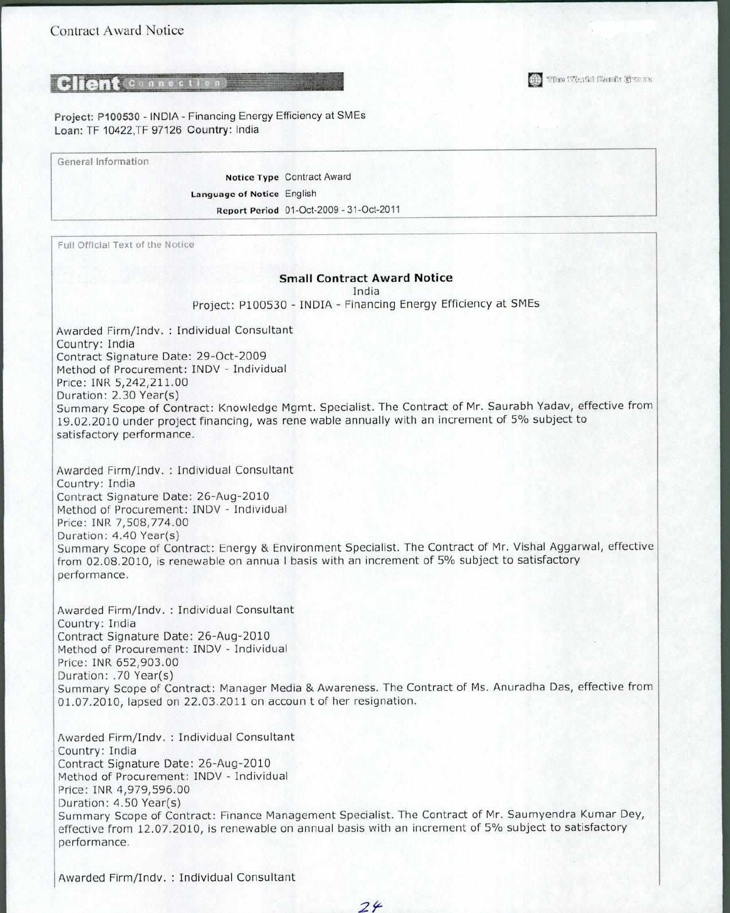## **Client** Connection

Project: P100530 - INDIA - Financing Energy Efficiency at SMEs Loan: TF 10422,TF 97126 Country: India

General Information

Notice Type Contract Award Language of Notice English Report Period 01-Oct-2009 - 31-Oct-2011

Full Official Text of the Notice

#### **Small Contract Award Notice**

India

Project: P100530 - INDIA - Financing Energy Efficiency at SMEs

Awarded Firm/Indv. : Individual Consultant Country: India Contract Signature Date: 29-Oct-2009 Method of Procurement: INDV - Individual Price: INR 5,242,211.00 Duration: 2.30 Year(s) Summary Scope of Contract: Knowledge Mgmt. Specialist. The Contract of Mr. Saurabh Yadav, effective from 19.02.2010 under project financing, was rene wable annually with an increment of 5% subject to satisfactory performance.

Awarded Firm/Indv. : Individual Consultant Country: India Contract Signature Date: 26-Aug-2010 Method of Procurement: INDV - Individual Price: INR 7,508,774.00 Duration: 4.40 Year(s) Summary Scope of Contract: Energy & Environment Specialist. The Contract of Mr. Vishal Aggarwal, effective from 02.08.2010, is renewable on annua I basis with an increment of 5% subject to satisfactory performance.

Awarded Firm/Indv. : Individual Consultant Country: India Contract Signature Date: 26-Aug-2010 Method of Procurement: INDV - Individual Price: INR 652,903.00 Duration: .70 Year(s) Summary Scope of Contract: Manager Media & Awareness. The Contract of Ms. Anuradha Das, effective from 01.07.2010, lapsed on 22.03.2011 on accoun t of her resignation.

Awarded Firm/Indv. : Individual Consultant Country: India Contract Signature Date: 26-Aug-2010 Method of Procurement: INDV - Individual Price: INR 4,979,596.00 Duration: 4.50 Year(s) Summary Scope of Contract: Finance Management Specialist. The Contract of Mr. Saumyendra Kumar Dey, effective from 12.07.2010, is renewable on annual basis with an increment of 5% subject to satisfactory performance.

Awarded Firm/Indv. : Individual Consultant

The World Bank Brous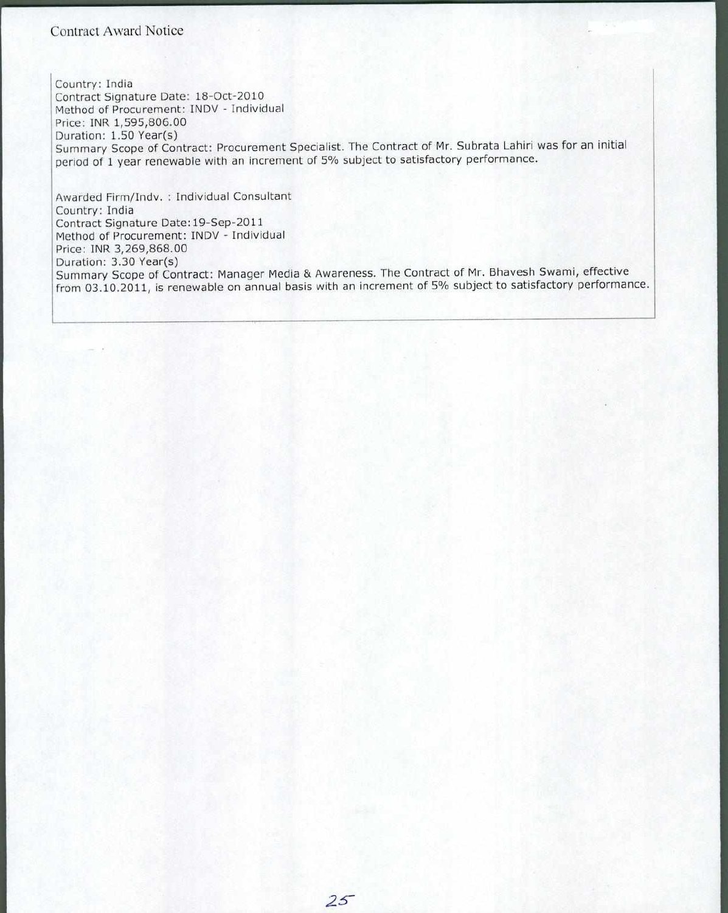### Contract Award Notice

Country: India Contract Signature Date: 18-Oct-2010 Method of Procurement: INDV - Individual Price: INR 1,595,806.00 Duration: 1.50 Year(s) Summary Scope of Contract: Procurement Specialist. The Contract of Mr. Subrata Lahiri was for an initial period of 1 year renewable with an increment of 5% subject to satisfactory performance.

Awarded Firm/Indv. : Individual Consultant Country: India Contract Signature Date :19-Sep-2011 Method of Procurement: INDV - Individual Price: INR 3,269,868.00 Duration: 3.30 Year(s) Summary Scope of Contract: Manager Media & Awareness. The Contract of Mr. Bhavesh Swami, effective from 03.10.2011, is renewable on annual basis with an increment of 5% subject to satisfactory performance.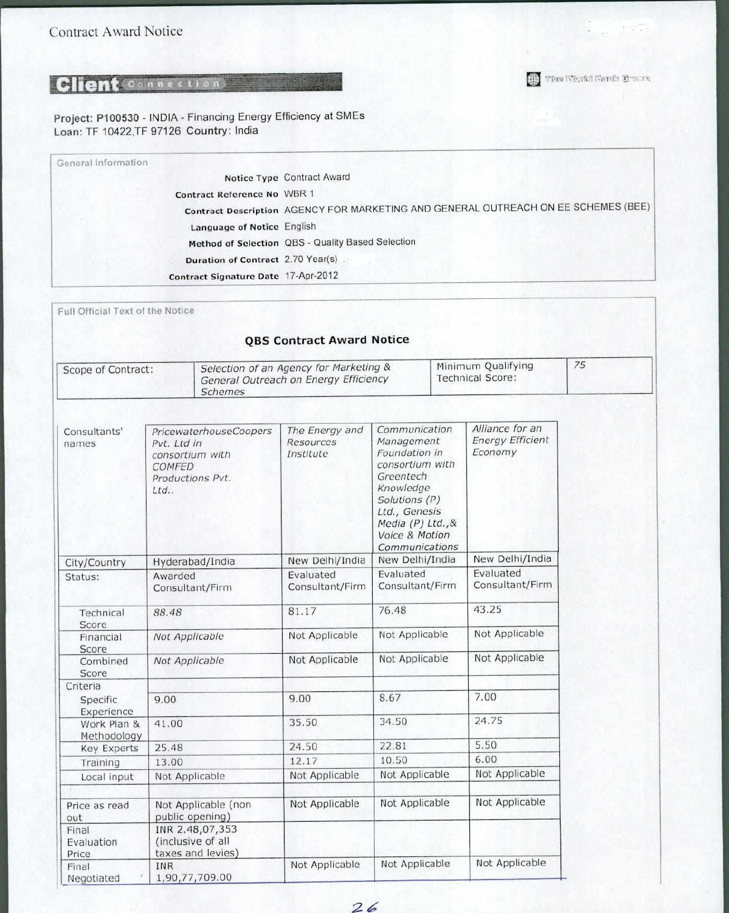The World Fants Stores

# Client Connection

Project: P100530 - INDIA - Financing Energy Efficiency at SMEs Loan: TF 10422,TF 97126 Country: India

| General Information                 |                                                                                    |
|-------------------------------------|------------------------------------------------------------------------------------|
|                                     | Notice Type Contract Award                                                         |
| <b>Contract Reference No WBR 1</b>  |                                                                                    |
|                                     | Contract Description AGENCY FOR MARKETING AND GENERAL OUTREACH ON EE SCHEMES (BEE) |
| Language of Notice English          |                                                                                    |
|                                     | Method of Selection QBS - Quality Based Selection                                  |
| Duration of Contract 2.70 Year(s)   |                                                                                    |
| Contract Signature Date 17-Apr-2012 |                                                                                    |

| Full Official Text of the Notice<br><b>OBS Contract Award Notice</b> |                                                                              |                        |                                                                                 |                                                                                                                                                                                      |                                               |                                                       |    |
|----------------------------------------------------------------------|------------------------------------------------------------------------------|------------------------|---------------------------------------------------------------------------------|--------------------------------------------------------------------------------------------------------------------------------------------------------------------------------------|-----------------------------------------------|-------------------------------------------------------|----|
| Scope of Contract:                                                   |                                                                              | <b>Schemes</b>         | Selection of an Agency for Marketing &<br>General Outreach on Energy Efficiency |                                                                                                                                                                                      | Minimum Qualifying<br><b>Technical Score:</b> |                                                       | 75 |
| Consultants'<br>names                                                | Pvt. Ltd in<br>consortium with<br>COMFED<br>Productions Pvt.<br>Ltd.         | PricewaterhouseCoopers | The Energy and<br>Resources<br>Institute                                        | Communication<br>Management<br>Foundation in<br>consortium with<br>Greentech<br>Knowledge<br>Solutions (P)<br>Ltd., Genesis<br>Media (P) Ltd., &<br>Voice & Motion<br>Communications |                                               | Alliance for an<br><b>Energy Efficient</b><br>Economy |    |
| City/Country                                                         | Hyderabad/India                                                              |                        | New Delhi/India                                                                 | New Delhi/India                                                                                                                                                                      |                                               | New Delhi/India                                       |    |
| Status:                                                              | Awarded<br>Consultant/Firm                                                   |                        | Evaluated<br>Consultant/Firm                                                    | Evaluated<br>Consultant/Firm                                                                                                                                                         |                                               | Evaluated<br>Consultant/Firm                          |    |
| Technical<br>Score                                                   | 88.48                                                                        |                        | 81.17                                                                           | 76.48                                                                                                                                                                                |                                               | 43.25                                                 |    |
| Financial<br>Score                                                   | Not Applicable                                                               |                        | Not Applicable                                                                  | Not Applicable                                                                                                                                                                       |                                               | Not Applicable                                        |    |
| Combined<br>Score                                                    | Not Applicable                                                               |                        | Not Applicable                                                                  | Not Applicable                                                                                                                                                                       |                                               | Not Applicable                                        |    |
| Criteria                                                             |                                                                              |                        |                                                                                 |                                                                                                                                                                                      |                                               |                                                       |    |
| <b>Specific</b><br>Experience                                        | 9.00                                                                         |                        | 9.00                                                                            | 8.67                                                                                                                                                                                 |                                               | 7.00                                                  |    |
| Work Plan &<br>Methodology                                           | 41.00                                                                        |                        | 35.50                                                                           | 34.50                                                                                                                                                                                |                                               | 24.75                                                 |    |
| <b>Key Experts</b>                                                   | 25.48                                                                        |                        | 24.50                                                                           | 22.81                                                                                                                                                                                |                                               | 5.50                                                  |    |
| Training                                                             | 13.00                                                                        |                        | 12.17                                                                           | 10.50                                                                                                                                                                                |                                               | 6.00                                                  |    |
| Local input                                                          | Not Applicable                                                               |                        | Not Applicable                                                                  | Not Applicable                                                                                                                                                                       |                                               | Not Applicable                                        |    |
| Price as read<br>out<br>Final<br>Evaluation<br>Price                 | public opening)<br>INR 2.48,07,353<br>(inclusive of all<br>taxes and levies) | Not Applicable (non    | Not Applicable                                                                  | Not Applicable                                                                                                                                                                       |                                               | Not Applicable                                        |    |
| Final<br>Negotiated                                                  | <b>INR</b><br>1,90,77,709.00                                                 |                        | Not Applicable                                                                  | Not Applicable                                                                                                                                                                       |                                               | Not Applicable                                        |    |